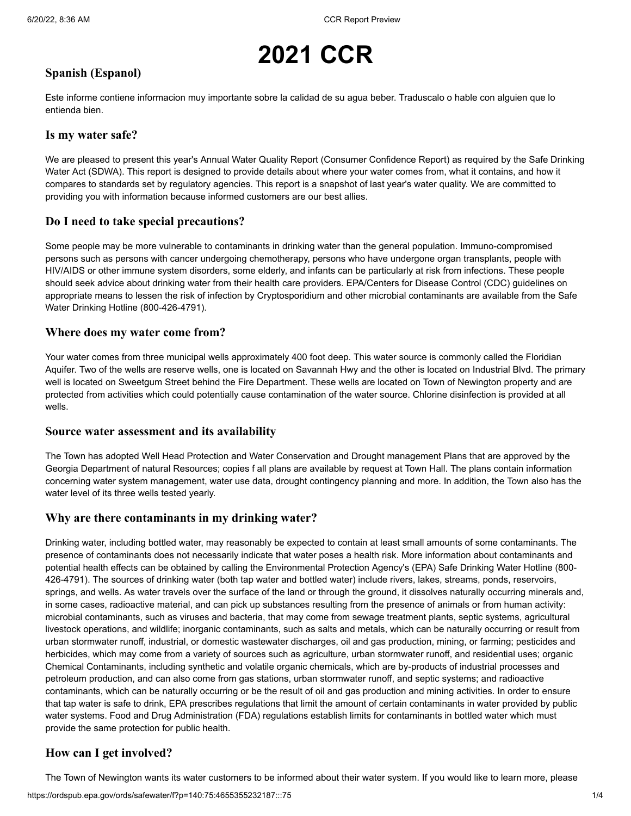# **2021 CCR**

### **Spanish (Espanol)**

Este informe contiene informacion muy importante sobre la calidad de su agua beber. Traduscalo o hable con alguien que lo entienda bien.

#### **Is my water safe?**

We are pleased to present this year's Annual Water Quality Report (Consumer Confidence Report) as required by the Safe Drinking Water Act (SDWA). This report is designed to provide details about where your water comes from, what it contains, and how it compares to standards set by regulatory agencies. This report is a snapshot of last year's water quality. We are committed to providing you with information because informed customers are our best allies.

#### **Do I need to take special precautions?**

Some people may be more vulnerable to contaminants in drinking water than the general population. Immuno-compromised persons such as persons with cancer undergoing chemotherapy, persons who have undergone organ transplants, people with HIV/AIDS or other immune system disorders, some elderly, and infants can be particularly at risk from infections. These people should seek advice about drinking water from their health care providers. EPA/Centers for Disease Control (CDC) guidelines on appropriate means to lessen the risk of infection by Cryptosporidium and other microbial contaminants are available from the Safe Water Drinking Hotline (800-426-4791).

#### **Where does my water come from?**

Your water comes from three municipal wells approximately 400 foot deep. This water source is commonly called the Floridian Aquifer. Two of the wells are reserve wells, one is located on Savannah Hwy and the other is located on Industrial Blvd. The primary well is located on Sweetgum Street behind the Fire Department. These wells are located on Town of Newington property and are protected from activities which could potentially cause contamination of the water source. Chlorine disinfection is provided at all wells.

#### **Source water assessment and its availability**

The Town has adopted Well Head Protection and Water Conservation and Drought management Plans that are approved by the Georgia Department of natural Resources; copies f all plans are available by request at Town Hall. The plans contain information concerning water system management, water use data, drought contingency planning and more. In addition, the Town also has the water level of its three wells tested yearly.

#### **Why are there contaminants in my drinking water?**

Drinking water, including bottled water, may reasonably be expected to contain at least small amounts of some contaminants. The presence of contaminants does not necessarily indicate that water poses a health risk. More information about contaminants and potential health effects can be obtained by calling the Environmental Protection Agency's (EPA) Safe Drinking Water Hotline (800- 426-4791). The sources of drinking water (both tap water and bottled water) include rivers, lakes, streams, ponds, reservoirs, springs, and wells. As water travels over the surface of the land or through the ground, it dissolves naturally occurring minerals and, in some cases, radioactive material, and can pick up substances resulting from the presence of animals or from human activity: microbial contaminants, such as viruses and bacteria, that may come from sewage treatment plants, septic systems, agricultural livestock operations, and wildlife; inorganic contaminants, such as salts and metals, which can be naturally occurring or result from urban stormwater runoff, industrial, or domestic wastewater discharges, oil and gas production, mining, or farming; pesticides and herbicides, which may come from a variety of sources such as agriculture, urban stormwater runoff, and residential uses; organic Chemical Contaminants, including synthetic and volatile organic chemicals, which are by-products of industrial processes and petroleum production, and can also come from gas stations, urban stormwater runoff, and septic systems; and radioactive contaminants, which can be naturally occurring or be the result of oil and gas production and mining activities. In order to ensure that tap water is safe to drink, EPA prescribes regulations that limit the amount of certain contaminants in water provided by public water systems. Food and Drug Administration (FDA) regulations establish limits for contaminants in bottled water which must provide the same protection for public health.

#### **How can I get involved?**

The Town of Newington wants its water customers to be informed about their water system. If you would like to learn more, please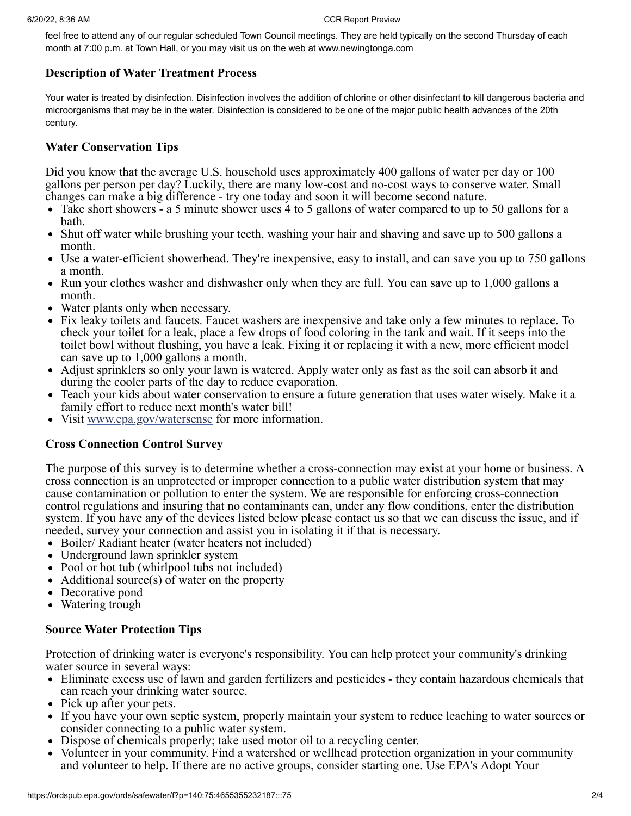#### 6/20/22, 8:36 AM CCR Report Preview

feel free to attend any of our regular scheduled Town Council meetings. They are held typically on the second Thursday of each month at 7:00 p.m. at Town Hall, or you may visit us on the web at www.newingtonga.com

#### **Description of Water Treatment Process**

Your water is treated by disinfection. Disinfection involves the addition of chlorine or other disinfectant to kill dangerous bacteria and microorganisms that may be in the water. Disinfection is considered to be one of the major public health advances of the 20th century.

#### **Water Conservation Tips**

Did you know that the average U.S. household uses approximately 400 gallons of water per day or 100 gallons per person per day? Luckily, there are many low-cost and no-cost ways to conserve water. Small changes can make a big difference - try one today and soon it will become second nature.

- Take short showers a 5 minute shower uses 4 to 5 gallons of water compared to up to 50 gallons for a bath.
- $\bullet$ Shut off water while brushing your teeth, washing your hair and shaving and save up to 500 gallons a month.
- Use a water-efficient showerhead. They're inexpensive, easy to install, and can save you up to 750 gallons a month.
- Run your clothes washer and dishwasher only when they are full. You can save up to 1,000 gallons a month.
- Water plants only when necessary.
- Fix leaky toilets and faucets. Faucet washers are inexpensive and take only a few minutes to replace. To check your toilet for a leak, place a few drops of food coloring in the tank and wait. If it seeps into the toilet bowl without flushing, you have a leak. Fixing it or replacing it with a new, more efficient model can save up to 1,000 gallons a month.
- Adjust sprinklers so only your lawn is watered. Apply water only as fast as the soil can absorb it and during the cooler parts of the day to reduce evaporation.
- Teach your kids about water conservation to ensure a future generation that uses water wisely. Make it a  $\bullet$ family effort to reduce next month's water bill!
- Visit [www.epa.gov/watersense](http://www.epa.gov/watersense) for more information.

#### **Cross Connection Control Survey**

The purpose of this survey is to determine whether a cross-connection may exist at your home or business. A cross connection is an unprotected or improper connection to a public water distribution system that may cause contamination or pollution to enter the system. We are responsible for enforcing cross-connection control regulations and insuring that no contaminants can, under any flow conditions, enter the distribution system. If you have any of the devices listed below please contact us so that we can discuss the issue, and if needed, survey your connection and assist you in isolating it if that is necessary.

- Boiler/ Radiant heater (water heaters not included)
- Underground lawn sprinkler system
- Pool or hot tub (whirlpool tubs not included)
- Additional source(s) of water on the property
- Decorative pond
- Watering trough

#### **Source Water Protection Tips**

Protection of drinking water is everyone's responsibility. You can help protect your community's drinking water source in several ways:

- Eliminate excess use of lawn and garden fertilizers and pesticides they contain hazardous chemicals that can reach your drinking water source.
- Pick up after your pets.
- If you have your own septic system, properly maintain your system to reduce leaching to water sources or consider connecting to a public water system.
- Dispose of chemicals properly; take used motor oil to a recycling center.
- Volunteer in your community. Find a watershed or wellhead protection organization in your community and volunteer to help. If there are no active groups, consider starting one. Use EPA's Adopt Your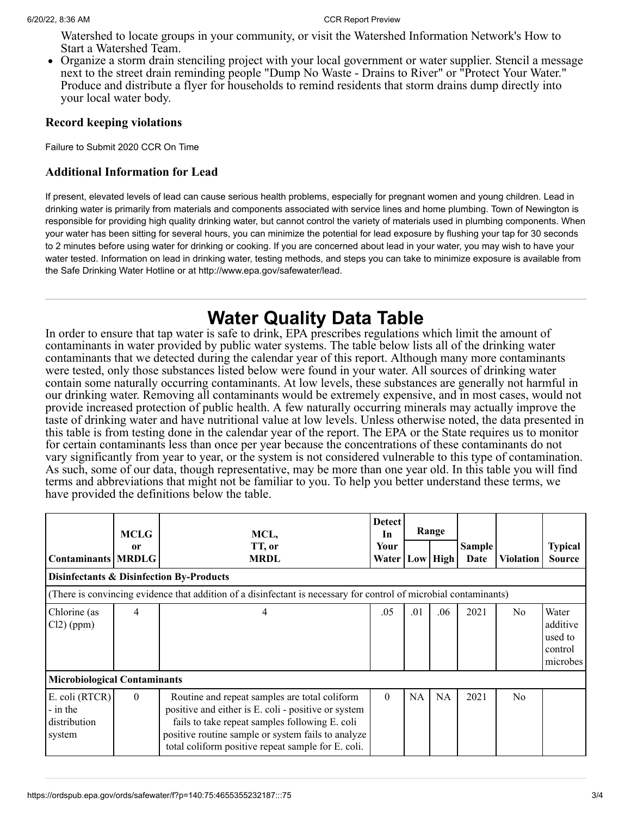Watershed to locate groups in your community, or visit the Watershed Information Network's How to Start a Watershed Team.

Organize a storm drain stenciling project with your local government or water supplier. Stencil a message next to the street drain reminding people "Dump No Waste - Drains to River" or "Protect Your Water." Produce and distribute a flyer for households to remind residents that storm drains dump directly into your local water body.

#### **Record keeping violations**

Failure to Submit 2020 CCR On Time

#### **Additional Information for Lead**

If present, elevated levels of lead can cause serious health problems, especially for pregnant women and young children. Lead in drinking water is primarily from materials and components associated with service lines and home plumbing. Town of Newington is responsible for providing high quality drinking water, but cannot control the variety of materials used in plumbing components. When your water has been sitting for several hours, you can minimize the potential for lead exposure by flushing your tap for 30 seconds to 2 minutes before using water for drinking or cooking. If you are concerned about lead in your water, you may wish to have your water tested. Information on lead in drinking water, testing methods, and steps you can take to minimize exposure is available from the Safe Drinking Water Hotline or at http://www.epa.gov/safewater/lead.

### **Water Quality Data Table**

In order to ensure that tap water is safe to drink, EPA prescribes regulations which limit the amount of contaminants in water provided by public water systems. The table below lists all of the drinking water contaminants that we detected during the calendar year of this report. Although many more contaminants were tested, only those substances listed below were found in your water. All sources of drinking water contain some naturally occurring contaminants. At low levels, these substances are generally not harmful in our drinking water. Removing all contaminants would be extremely expensive, and in most cases, would not provide increased protection of public health. A few naturally occurring minerals may actually improve the taste of drinking water and have nutritional value at low levels. Unless otherwise noted, the data presented in this table is from testing done in the calendar year of the report. The EPA or the State requires us to monitor for certain contaminants less than once per year because the concentrations of these contaminants do not vary significantly from year to year, or the system is not considered vulnerable to this type of contamination. As such, some of our data, though representative, may be more than one year old. In this table you will find terms and abbreviations that might not be familiar to you. To help you better understand these terms, we have provided the definitions below the table.

|                                                      | <b>MCLG</b>    | MCL,                                                                                                                                                                                                                                                               | <b>Detect</b><br>In | Range |             |                       |                  |                                                     |  |
|------------------------------------------------------|----------------|--------------------------------------------------------------------------------------------------------------------------------------------------------------------------------------------------------------------------------------------------------------------|---------------------|-------|-------------|-----------------------|------------------|-----------------------------------------------------|--|
| <b>Contaminants MRDLG</b>                            | or             | TT, or<br><b>MRDL</b>                                                                                                                                                                                                                                              | Your<br>Water       | Low   | <b>High</b> | <b>Sample</b><br>Date | <b>Violation</b> | <b>Typical</b><br><b>Source</b>                     |  |
| <b>Disinfectants &amp; Disinfection By-Products</b>  |                |                                                                                                                                                                                                                                                                    |                     |       |             |                       |                  |                                                     |  |
|                                                      |                | (There is convincing evidence that addition of a disinfectant is necessary for control of microbial contaminants)                                                                                                                                                  |                     |       |             |                       |                  |                                                     |  |
| Chlorine (as<br>$Cl2$ ) (ppm)                        | $\overline{4}$ | 4                                                                                                                                                                                                                                                                  | .05                 | .01   | .06         | 2021                  | N <sub>0</sub>   | Water<br>additive<br>used to<br>control<br>microbes |  |
| <b>Microbiological Contaminants</b>                  |                |                                                                                                                                                                                                                                                                    |                     |       |             |                       |                  |                                                     |  |
| E. coli (RTCR)<br>- in the<br>distribution<br>system | $\theta$       | Routine and repeat samples are total coliform<br>positive and either is E. coli - positive or system<br>fails to take repeat samples following E. coli<br>positive routine sample or system fails to analyze<br>total coliform positive repeat sample for E. coli. | $\Omega$            | NA    | <b>NA</b>   | 2021                  | N <sub>o</sub>   |                                                     |  |